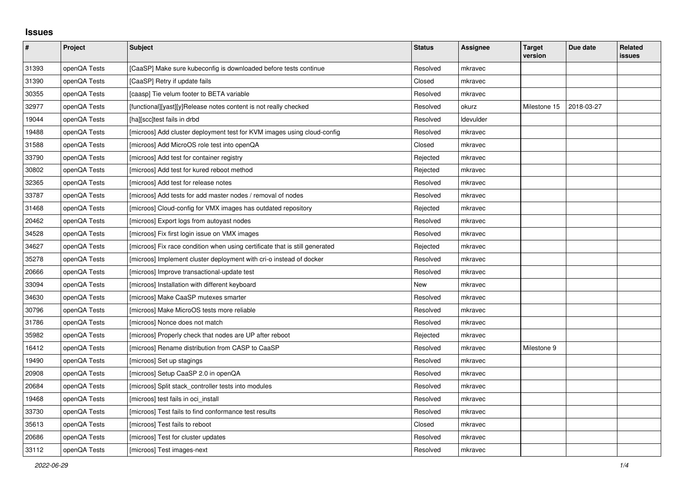## **Issues**

| $\pmb{\#}$ | Project      | Subject                                                                     | <b>Status</b> | <b>Assignee</b> | <b>Target</b><br>version | Due date   | <b>Related</b><br>issues |
|------------|--------------|-----------------------------------------------------------------------------|---------------|-----------------|--------------------------|------------|--------------------------|
| 31393      | openQA Tests | [CaaSP] Make sure kubeconfig is downloaded before tests continue            | Resolved      | mkravec         |                          |            |                          |
| 31390      | openQA Tests | [CaaSP] Retry if update fails                                               | Closed        | mkravec         |                          |            |                          |
| 30355      | openQA Tests | [caasp] Tie velum footer to BETA variable                                   | Resolved      | mkravec         |                          |            |                          |
| 32977      | openQA Tests | [functional][yast][y]Release notes content is not really checked            | Resolved      | okurz           | Milestone 15             | 2018-03-27 |                          |
| 19044      | openQA Tests | [ha][scc]test fails in drbd                                                 | Resolved      | Idevulder       |                          |            |                          |
| 19488      | openQA Tests | [microos] Add cluster deployment test for KVM images using cloud-config     | Resolved      | mkravec         |                          |            |                          |
| 31588      | openQA Tests | [microos] Add MicroOS role test into openQA                                 | Closed        | mkravec         |                          |            |                          |
| 33790      | openQA Tests | [microos] Add test for container registry                                   | Rejected      | mkravec         |                          |            |                          |
| 30802      | openQA Tests | [microos] Add test for kured reboot method                                  | Rejected      | mkravec         |                          |            |                          |
| 32365      | openQA Tests | [microos] Add test for release notes                                        | Resolved      | mkravec         |                          |            |                          |
| 33787      | openQA Tests | [microos] Add tests for add master nodes / removal of nodes                 | Resolved      | mkravec         |                          |            |                          |
| 31468      | openQA Tests | [microos] Cloud-config for VMX images has outdated repository               | Rejected      | mkravec         |                          |            |                          |
| 20462      | openQA Tests | [microos] Export logs from autoyast nodes                                   | Resolved      | mkravec         |                          |            |                          |
| 34528      | openQA Tests | [microos] Fix first login issue on VMX images                               | Resolved      | mkravec         |                          |            |                          |
| 34627      | openQA Tests | [microos] Fix race condition when using certificate that is still generated | Rejected      | mkravec         |                          |            |                          |
| 35278      | openQA Tests | [microos] Implement cluster deployment with cri-o instead of docker         | Resolved      | mkravec         |                          |            |                          |
| 20666      | openQA Tests | [microos] Improve transactional-update test                                 | Resolved      | mkravec         |                          |            |                          |
| 33094      | openQA Tests | [microos] Installation with different keyboard                              | New           | mkravec         |                          |            |                          |
| 34630      | openQA Tests | [microos] Make CaaSP mutexes smarter                                        | Resolved      | mkravec         |                          |            |                          |
| 30796      | openQA Tests | [microos] Make MicroOS tests more reliable                                  | Resolved      | mkravec         |                          |            |                          |
| 31786      | openQA Tests | [microos] Nonce does not match                                              | Resolved      | mkravec         |                          |            |                          |
| 35982      | openQA Tests | [microos] Properly check that nodes are UP after reboot                     | Rejected      | mkravec         |                          |            |                          |
| 16412      | openQA Tests | [microos] Rename distribution from CASP to CaaSP                            | Resolved      | mkravec         | Milestone 9              |            |                          |
| 19490      | openQA Tests | [microos] Set up stagings                                                   | Resolved      | mkravec         |                          |            |                          |
| 20908      | openQA Tests | [microos] Setup CaaSP 2.0 in openQA                                         | Resolved      | mkravec         |                          |            |                          |
| 20684      | openQA Tests | [microos] Split stack_controller tests into modules                         | Resolved      | mkravec         |                          |            |                          |
| 19468      | openQA Tests | [microos] test fails in oci_install                                         | Resolved      | mkravec         |                          |            |                          |
| 33730      | openQA Tests | [microos] Test fails to find conformance test results                       | Resolved      | mkravec         |                          |            |                          |
| 35613      | openQA Tests | [microos] Test fails to reboot                                              | Closed        | mkravec         |                          |            |                          |
| 20686      | openQA Tests | [microos] Test for cluster updates                                          | Resolved      | mkravec         |                          |            |                          |
| 33112      | openQA Tests | [microos] Test images-next                                                  | Resolved      | mkravec         |                          |            |                          |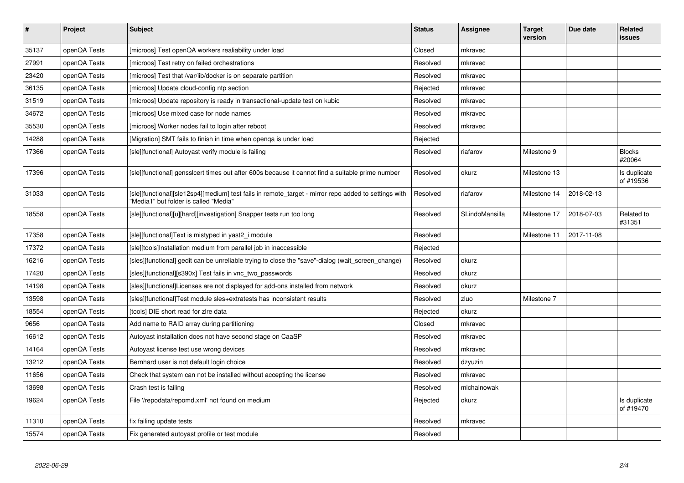| $\vert$ # | Project      | <b>Subject</b>                                                                                                                                | <b>Status</b> | <b>Assignee</b> | <b>Target</b><br>version | Due date   | Related<br>issues         |
|-----------|--------------|-----------------------------------------------------------------------------------------------------------------------------------------------|---------------|-----------------|--------------------------|------------|---------------------------|
| 35137     | openQA Tests | [microos] Test openQA workers realiability under load                                                                                         | Closed        | mkravec         |                          |            |                           |
| 27991     | openQA Tests | [microos] Test retry on failed orchestrations                                                                                                 | Resolved      | mkravec         |                          |            |                           |
| 23420     | openQA Tests | [microos] Test that /var/lib/docker is on separate partition                                                                                  | Resolved      | mkravec         |                          |            |                           |
| 36135     | openQA Tests | [microos] Update cloud-config ntp section                                                                                                     | Rejected      | mkravec         |                          |            |                           |
| 31519     | openQA Tests | [microos] Update repository is ready in transactional-update test on kubic                                                                    | Resolved      | mkravec         |                          |            |                           |
| 34672     | openQA Tests | [microos] Use mixed case for node names                                                                                                       | Resolved      | mkravec         |                          |            |                           |
| 35530     | openQA Tests | [microos] Worker nodes fail to login after reboot                                                                                             | Resolved      | mkravec         |                          |            |                           |
| 14288     | openQA Tests | [Migration] SMT fails to finish in time when openga is under load                                                                             | Rejected      |                 |                          |            |                           |
| 17366     | openQA Tests | [sle][functional] Autoyast verify module is failing                                                                                           | Resolved      | riafarov        | Milestone 9              |            | <b>Blocks</b><br>#20064   |
| 17396     | openQA Tests | [sle][functional] gensslcert times out after 600s because it cannot find a suitable prime number                                              | Resolved      | okurz           | Milestone 13             |            | Is duplicate<br>of #19536 |
| 31033     | openQA Tests | [sle][functional][sle12sp4][medium] test fails in remote_target - mirror repo added to settings with<br>"Media1" but folder is called "Media" | Resolved      | riafarov        | Milestone 14             | 2018-02-13 |                           |
| 18558     | openQA Tests | [sle][functional][u][hard][investigation] Snapper tests run too long                                                                          | Resolved      | SLindoMansilla  | Milestone 17             | 2018-07-03 | Related to<br>#31351      |
| 17358     | openQA Tests | [sle][functional]Text is mistyped in yast2_i module                                                                                           | Resolved      |                 | Milestone 11             | 2017-11-08 |                           |
| 17372     | openQA Tests | [sle][tools]Installation medium from parallel job in inaccessible                                                                             | Rejected      |                 |                          |            |                           |
| 16216     | openQA Tests | [sles][functional] gedit can be unreliable trying to close the "save"-dialog (wait screen change)                                             | Resolved      | okurz           |                          |            |                           |
| 17420     | openQA Tests | [sles][functional][s390x] Test fails in vnc_two_passwords                                                                                     | Resolved      | okurz           |                          |            |                           |
| 14198     | openQA Tests | [sles][functional]Licenses are not displayed for add-ons installed from network                                                               | Resolved      | okurz           |                          |            |                           |
| 13598     | openQA Tests | [sles][functional]Test module sles+extratests has inconsistent results                                                                        | Resolved      | zluo            | Milestone 7              |            |                           |
| 18554     | openQA Tests | [tools] DIE short read for zire data                                                                                                          | Rejected      | okurz           |                          |            |                           |
| 9656      | openQA Tests | Add name to RAID array during partitioning                                                                                                    | Closed        | mkravec         |                          |            |                           |
| 16612     | openQA Tests | Autoyast installation does not have second stage on CaaSP                                                                                     | Resolved      | mkravec         |                          |            |                           |
| 14164     | openQA Tests | Autoyast license test use wrong devices                                                                                                       | Resolved      | mkravec         |                          |            |                           |
| 13212     | openQA Tests | Bernhard user is not default login choice                                                                                                     | Resolved      | dzyuzin         |                          |            |                           |
| 11656     | openQA Tests | Check that system can not be installed without accepting the license                                                                          | Resolved      | mkravec         |                          |            |                           |
| 13698     | openQA Tests | Crash test is failing                                                                                                                         | Resolved      | michalnowak     |                          |            |                           |
| 19624     | openQA Tests | File '/repodata/repomd.xml' not found on medium                                                                                               | Rejected      | okurz           |                          |            | Is duplicate<br>of #19470 |
| 11310     | openQA Tests | fix failing update tests                                                                                                                      | Resolved      | mkravec         |                          |            |                           |
| 15574     | openQA Tests | Fix generated autoyast profile or test module                                                                                                 | Resolved      |                 |                          |            |                           |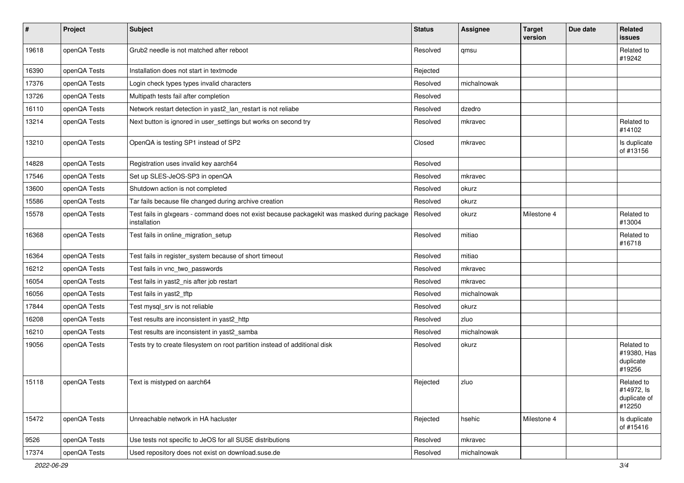| $\sharp$ | Project      | Subject                                                                                                      | <b>Status</b> | <b>Assignee</b> | <b>Target</b><br>version | Due date | Related<br>issues                                  |
|----------|--------------|--------------------------------------------------------------------------------------------------------------|---------------|-----------------|--------------------------|----------|----------------------------------------------------|
| 19618    | openQA Tests | Grub2 needle is not matched after reboot                                                                     | Resolved      | qmsu            |                          |          | Related to<br>#19242                               |
| 16390    | openQA Tests | Installation does not start in textmode                                                                      | Rejected      |                 |                          |          |                                                    |
| 17376    | openQA Tests | Login check types types invalid characters                                                                   | Resolved      | michalnowak     |                          |          |                                                    |
| 13726    | openQA Tests | Multipath tests fail after completion                                                                        | Resolved      |                 |                          |          |                                                    |
| 16110    | openQA Tests | Network restart detection in yast2_lan_restart is not reliabe                                                | Resolved      | dzedro          |                          |          |                                                    |
| 13214    | openQA Tests | Next button is ignored in user_settings but works on second try                                              | Resolved      | mkravec         |                          |          | Related to<br>#14102                               |
| 13210    | openQA Tests | OpenQA is testing SP1 instead of SP2                                                                         | Closed        | mkravec         |                          |          | Is duplicate<br>of #13156                          |
| 14828    | openQA Tests | Registration uses invalid key aarch64                                                                        | Resolved      |                 |                          |          |                                                    |
| 17546    | openQA Tests | Set up SLES-JeOS-SP3 in openQA                                                                               | Resolved      | mkravec         |                          |          |                                                    |
| 13600    | openQA Tests | Shutdown action is not completed                                                                             | Resolved      | okurz           |                          |          |                                                    |
| 15586    | openQA Tests | Tar fails because file changed during archive creation                                                       | Resolved      | okurz           |                          |          |                                                    |
| 15578    | openQA Tests | Test fails in glxgears - command does not exist because packagekit was masked during package<br>installation | Resolved      | okurz           | Milestone 4              |          | Related to<br>#13004                               |
| 16368    | openQA Tests | Test fails in online_migration_setup                                                                         | Resolved      | mitiao          |                          |          | Related to<br>#16718                               |
| 16364    | openQA Tests | Test fails in register_system because of short timeout                                                       | Resolved      | mitiao          |                          |          |                                                    |
| 16212    | openQA Tests | Test fails in vnc_two_passwords                                                                              | Resolved      | mkravec         |                          |          |                                                    |
| 16054    | openQA Tests | Test fails in yast2_nis after job restart                                                                    | Resolved      | mkravec         |                          |          |                                                    |
| 16056    | openQA Tests | Test fails in yast2_tftp                                                                                     | Resolved      | michalnowak     |                          |          |                                                    |
| 17844    | openQA Tests | Test mysql_srv is not reliable                                                                               | Resolved      | okurz           |                          |          |                                                    |
| 16208    | openQA Tests | Test results are inconsistent in yast2_http                                                                  | Resolved      | zluo            |                          |          |                                                    |
| 16210    | openQA Tests | Test results are inconsistent in yast2_samba                                                                 | Resolved      | michalnowak     |                          |          |                                                    |
| 19056    | openQA Tests | Tests try to create filesystem on root partition instead of additional disk                                  | Resolved      | okurz           |                          |          | Related to<br>#19380, Has<br>duplicate<br>#19256   |
| 15118    | openQA Tests | Text is mistyped on aarch64                                                                                  | Rejected      | zluo            |                          |          | Related to<br>#14972, ls<br>duplicate of<br>#12250 |
| 15472    | openQA Tests | Unreachable network in HA hacluster                                                                          | Rejected      | hsehic          | Milestone 4              |          | Is duplicate<br>of #15416                          |
| 9526     | openQA Tests | Use tests not specific to JeOS for all SUSE distributions                                                    | Resolved      | mkravec         |                          |          |                                                    |
| 17374    | openQA Tests | Used repository does not exist on download.suse.de                                                           | Resolved      | michalnowak     |                          |          |                                                    |